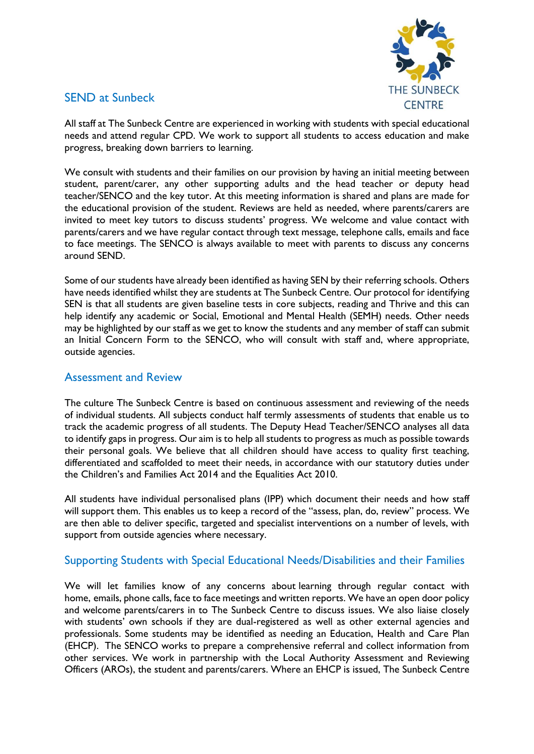

# SEND at Sunbeck

All staff at The Sunbeck Centre are experienced in working with students with special educational needs and attend regular CPD. We work to support all students to access education and make progress, breaking down barriers to learning.

We consult with students and their families on our provision by having an initial meeting between student, parent/carer, any other supporting adults and the head teacher or deputy head teacher/SENCO and the key tutor. At this meeting information is shared and plans are made for the educational provision of the student. Reviews are held as needed, where parents/carers are invited to meet key tutors to discuss students' progress. We welcome and value contact with parents/carers and we have regular contact through text message, telephone calls, emails and face to face meetings. The SENCO is always available to meet with parents to discuss any concerns around SEND.

Some of our students have already been identified as having SEN by their referring schools. Others have needs identified whilst they are students at The Sunbeck Centre. Our protocol for identifying SEN is that all students are given baseline tests in core subjects, reading and Thrive and this can help identify any academic or Social, Emotional and Mental Health (SEMH) needs. Other needs may be highlighted by our staff as we get to know the students and any member of staff can submit an Initial Concern Form to the SENCO, who will consult with staff and, where appropriate, outside agencies.

### Assessment and Review

The culture The Sunbeck Centre is based on continuous assessment and reviewing of the needs of individual students. All subjects conduct half termly assessments of students that enable us to track the academic progress of all students. The Deputy Head Teacher/SENCO analyses all data to identify gaps in progress. Our aim is to help all students to progress as much as possible towards their personal goals. We believe that all children should have access to quality first teaching, differentiated and scaffolded to meet their needs, in accordance with our statutory duties under the Children's and Families Act 2014 and the Equalities Act 2010.

All students have individual personalised plans (IPP) which document their needs and how staff will support them. This enables us to keep a record of the "assess, plan, do, review" process. We are then able to deliver specific, targeted and specialist interventions on a number of levels, with support from outside agencies where necessary.

## Supporting Students with Special Educational Needs/Disabilities and their Families

We will let families know of any concerns about learning through regular contact with home, emails, phone calls, face to face meetings and written reports. We have an open door policy and welcome parents/carers in to The Sunbeck Centre to discuss issues. We also liaise closely with students' own schools if they are dual-registered as well as other external agencies and professionals. Some students may be identified as needing an Education, Health and Care Plan (EHCP). The SENCO works to prepare a comprehensive referral and collect information from other services. We work in partnership with the Local Authority Assessment and Reviewing Officers (AROs), the student and parents/carers. Where an EHCP is issued, The Sunbeck Centre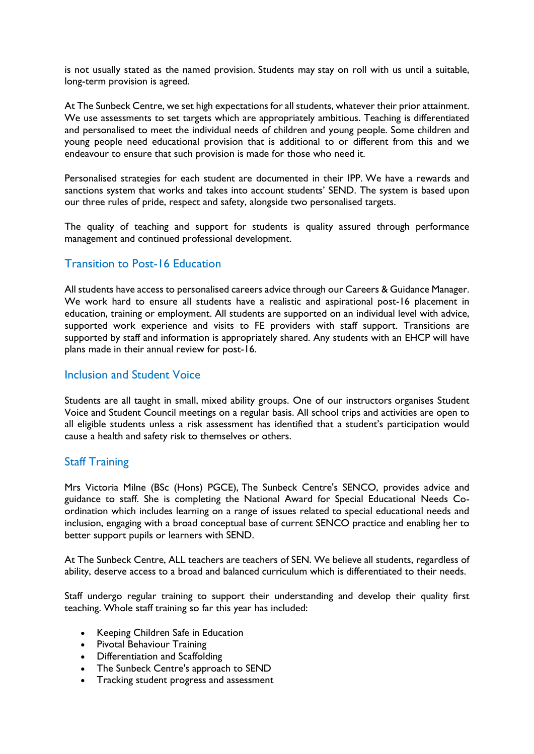is not usually stated as the named provision. Students may stay on roll with us until a suitable, long-term provision is agreed.

At The Sunbeck Centre, we set high expectations for all students, whatever their prior attainment. We use assessments to set targets which are appropriately ambitious. Teaching is differentiated and personalised to meet the individual needs of children and young people. Some children and young people need educational provision that is additional to or different from this and we endeavour to ensure that such provision is made for those who need it.

Personalised strategies for each student are documented in their IPP. We have a rewards and sanctions system that works and takes into account students' SEND. The system is based upon our three rules of pride, respect and safety, alongside two personalised targets.

The quality of teaching and support for students is quality assured through performance management and continued professional development.

#### Transition to Post-16 Education

All students have access to personalised careers advice through our Careers & Guidance Manager. We work hard to ensure all students have a realistic and aspirational post-16 placement in education, training or employment. All students are supported on an individual level with advice, supported work experience and visits to FE providers with staff support. Transitions are supported by staff and information is appropriately shared. Any students with an EHCP will have plans made in their annual review for post-16.

#### Inclusion and Student Voice

Students are all taught in small, mixed ability groups. One of our instructors organises Student Voice and Student Council meetings on a regular basis. All school trips and activities are open to all eligible students unless a risk assessment has identified that a student's participation would cause a health and safety risk to themselves or others.

#### Staff Training

Mrs Victoria Milne (BSc (Hons) PGCE), The Sunbeck Centre's SENCO, provides advice and guidance to staff. She is completing the National Award for Special Educational Needs Coordination which includes learning on a range of issues related to special educational needs and inclusion, engaging with a broad conceptual base of current SENCO practice and enabling her to better support pupils or learners with SEND.

At The Sunbeck Centre, ALL teachers are teachers of SEN. We believe all students, regardless of ability, deserve access to a broad and balanced curriculum which is differentiated to their needs.

Staff undergo regular training to support their understanding and develop their quality first teaching. Whole staff training so far this year has included:

- Keeping Children Safe in Education
- Pivotal Behaviour Training
- Differentiation and Scaffolding
- The Sunbeck Centre's approach to SEND
- Tracking student progress and assessment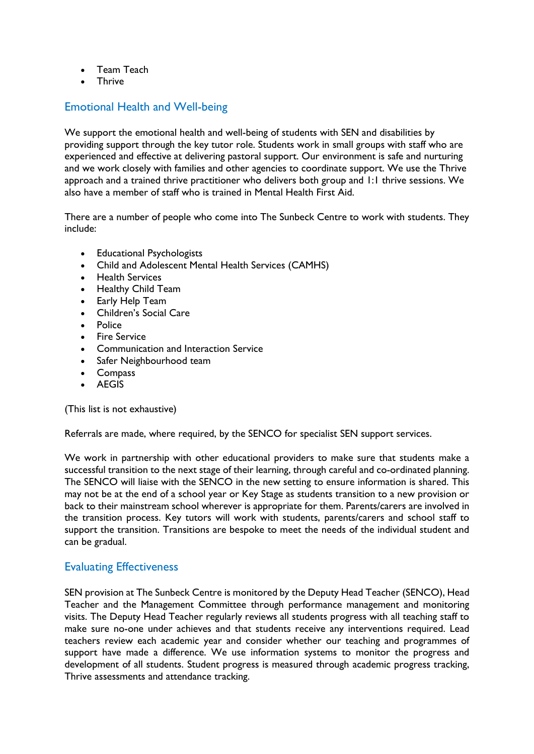- Team Teach
- Thrive

### Emotional Health and Well-being

We support the emotional health and well-being of students with SEN and disabilities by providing support through the key tutor role. Students work in small groups with staff who are experienced and effective at delivering pastoral support. Our environment is safe and nurturing and we work closely with families and other agencies to coordinate support. We use the Thrive approach and a trained thrive practitioner who delivers both group and 1:1 thrive sessions. We also have a member of staff who is trained in Mental Health First Aid.

There are a number of people who come into The Sunbeck Centre to work with students. They include:

- Educational Psychologists
- Child and Adolescent Mental Health Services (CAMHS)
- Health Services
- Healthy Child Team
- Early Help Team
- Children's Social Care
- Police
- Fire Service
- Communication and Interaction Service
- Safer Neighbourhood team
- Compass
- AEGIS

(This list is not exhaustive)

Referrals are made, where required, by the SENCO for specialist SEN support services.

We work in partnership with other educational providers to make sure that students make a successful transition to the next stage of their learning, through careful and co-ordinated planning. The SENCO will liaise with the SENCO in the new setting to ensure information is shared. This may not be at the end of a school year or Key Stage as students transition to a new provision or back to their mainstream school wherever is appropriate for them. Parents/carers are involved in the transition process. Key tutors will work with students, parents/carers and school staff to support the transition. Transitions are bespoke to meet the needs of the individual student and can be gradual.

#### Evaluating Effectiveness

SEN provision at The Sunbeck Centre is monitored by the Deputy Head Teacher (SENCO), Head Teacher and the Management Committee through performance management and monitoring visits. The Deputy Head Teacher regularly reviews all students progress with all teaching staff to make sure no-one under achieves and that students receive any interventions required. Lead teachers review each academic year and consider whether our teaching and programmes of support have made a difference. We use information systems to monitor the progress and development of all students. Student progress is measured through academic progress tracking, Thrive assessments and attendance tracking.